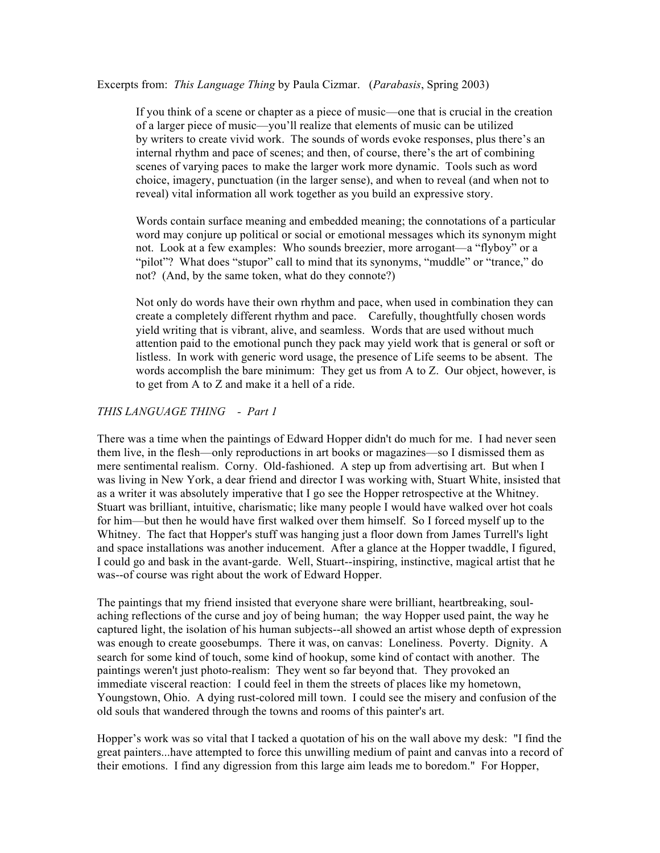Excerpts from: *This Language Thing* by Paula Cizmar. (*Parabasis*, Spring 2003)

If you think of a scene or chapter as a piece of music—one that is crucial in the creation of a larger piece of music—you'll realize that elements of music can be utilized by writers to create vivid work. The sounds of words evoke responses, plus there's an internal rhythm and pace of scenes; and then, of course, there's the art of combining scenes of varying paces to make the larger work more dynamic. Tools such as word choice, imagery, punctuation (in the larger sense), and when to reveal (and when not to reveal) vital information all work together as you build an expressive story.

Words contain surface meaning and embedded meaning; the connotations of a particular word may conjure up political or social or emotional messages which its synonym might not. Look at a few examples: Who sounds breezier, more arrogant—a "flyboy" or a "pilot"? What does "stupor" call to mind that its synonyms, "muddle" or "trance," do not? (And, by the same token, what do they connote?)

Not only do words have their own rhythm and pace, when used in combination they can create a completely different rhythm and pace. Carefully, thoughtfully chosen words yield writing that is vibrant, alive, and seamless. Words that are used without much attention paid to the emotional punch they pack may yield work that is general or soft or listless. In work with generic word usage, the presence of Life seems to be absent. The words accomplish the bare minimum: They get us from A to Z. Our object, however, is to get from A to Z and make it a hell of a ride.

## *THIS LANGUAGE THING - Part 1*

There was a time when the paintings of Edward Hopper didn't do much for me. I had never seen them live, in the flesh—only reproductions in art books or magazines—so I dismissed them as mere sentimental realism. Corny. Old-fashioned. A step up from advertising art. But when I was living in New York, a dear friend and director I was working with, Stuart White, insisted that as a writer it was absolutely imperative that I go see the Hopper retrospective at the Whitney. Stuart was brilliant, intuitive, charismatic; like many people I would have walked over hot coals for him—but then he would have first walked over them himself. So I forced myself up to the Whitney. The fact that Hopper's stuff was hanging just a floor down from James Turrell's light and space installations was another inducement. After a glance at the Hopper twaddle, I figured, I could go and bask in the avant-garde. Well, Stuart--inspiring, instinctive, magical artist that he was--of course was right about the work of Edward Hopper.

The paintings that my friend insisted that everyone share were brilliant, heartbreaking, soulaching reflections of the curse and joy of being human; the way Hopper used paint, the way he captured light, the isolation of his human subjects--all showed an artist whose depth of expression was enough to create goosebumps. There it was, on canvas: Loneliness. Poverty. Dignity. A search for some kind of touch, some kind of hookup, some kind of contact with another. The paintings weren't just photo-realism: They went so far beyond that. They provoked an immediate visceral reaction: I could feel in them the streets of places like my hometown, Youngstown, Ohio. A dying rust-colored mill town. I could see the misery and confusion of the old souls that wandered through the towns and rooms of this painter's art.

Hopper's work was so vital that I tacked a quotation of his on the wall above my desk: "I find the great painters...have attempted to force this unwilling medium of paint and canvas into a record of their emotions. I find any digression from this large aim leads me to boredom." For Hopper,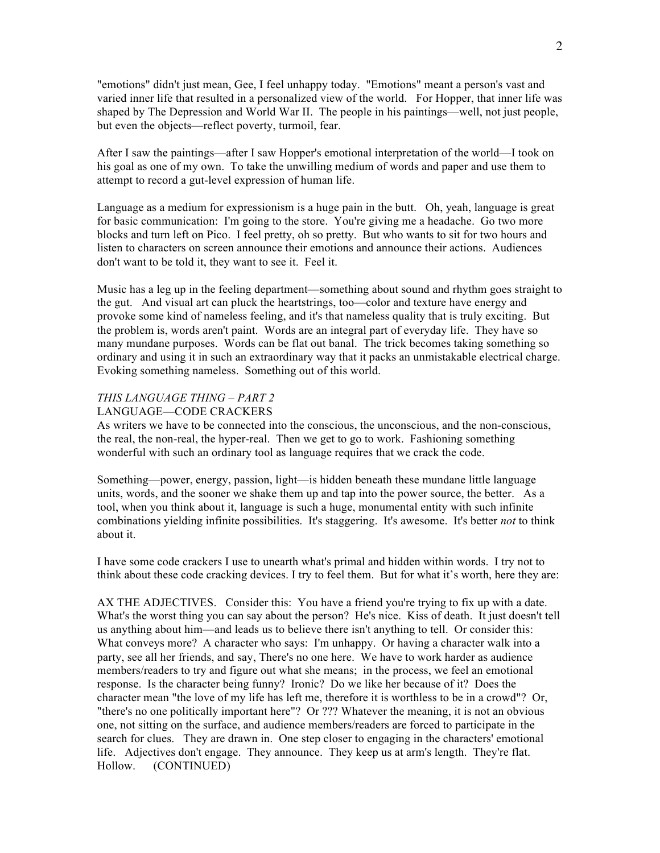"emotions" didn't just mean, Gee, I feel unhappy today. "Emotions" meant a person's vast and varied inner life that resulted in a personalized view of the world. For Hopper, that inner life was shaped by The Depression and World War II. The people in his paintings—well, not just people, but even the objects—reflect poverty, turmoil, fear.

After I saw the paintings—after I saw Hopper's emotional interpretation of the world—I took on his goal as one of my own. To take the unwilling medium of words and paper and use them to attempt to record a gut-level expression of human life.

Language as a medium for expressionism is a huge pain in the butt. Oh, yeah, language is great for basic communication: I'm going to the store. You're giving me a headache. Go two more blocks and turn left on Pico. I feel pretty, oh so pretty. But who wants to sit for two hours and listen to characters on screen announce their emotions and announce their actions. Audiences don't want to be told it, they want to see it. Feel it.

Music has a leg up in the feeling department—something about sound and rhythm goes straight to the gut. And visual art can pluck the heartstrings, too—color and texture have energy and provoke some kind of nameless feeling, and it's that nameless quality that is truly exciting. But the problem is, words aren't paint. Words are an integral part of everyday life. They have so many mundane purposes. Words can be flat out banal. The trick becomes taking something so ordinary and using it in such an extraordinary way that it packs an unmistakable electrical charge. Evoking something nameless. Something out of this world.

## *THIS LANGUAGE THING – PART 2*

## LANGUAGE—CODE CRACKERS

As writers we have to be connected into the conscious, the unconscious, and the non-conscious, the real, the non-real, the hyper-real. Then we get to go to work. Fashioning something wonderful with such an ordinary tool as language requires that we crack the code.

Something—power, energy, passion, light—is hidden beneath these mundane little language units, words, and the sooner we shake them up and tap into the power source, the better. As a tool, when you think about it, language is such a huge, monumental entity with such infinite combinations yielding infinite possibilities. It's staggering. It's awesome. It's better *not* to think about it.

I have some code crackers I use to unearth what's primal and hidden within words. I try not to think about these code cracking devices. I try to feel them. But for what it's worth, here they are:

AX THE ADJECTIVES. Consider this: You have a friend you're trying to fix up with a date. What's the worst thing you can say about the person? He's nice. Kiss of death. It just doesn't tell us anything about him—and leads us to believe there isn't anything to tell. Or consider this: What conveys more? A character who says: I'm unhappy. Or having a character walk into a party, see all her friends, and say, There's no one here. We have to work harder as audience members/readers to try and figure out what she means; in the process, we feel an emotional response. Is the character being funny? Ironic? Do we like her because of it? Does the character mean "the love of my life has left me, therefore it is worthless to be in a crowd"? Or, "there's no one politically important here"? Or ??? Whatever the meaning, it is not an obvious one, not sitting on the surface, and audience members/readers are forced to participate in the search for clues. They are drawn in. One step closer to engaging in the characters' emotional life. Adjectives don't engage. They announce. They keep us at arm's length. They're flat. Hollow. (CONTINUED)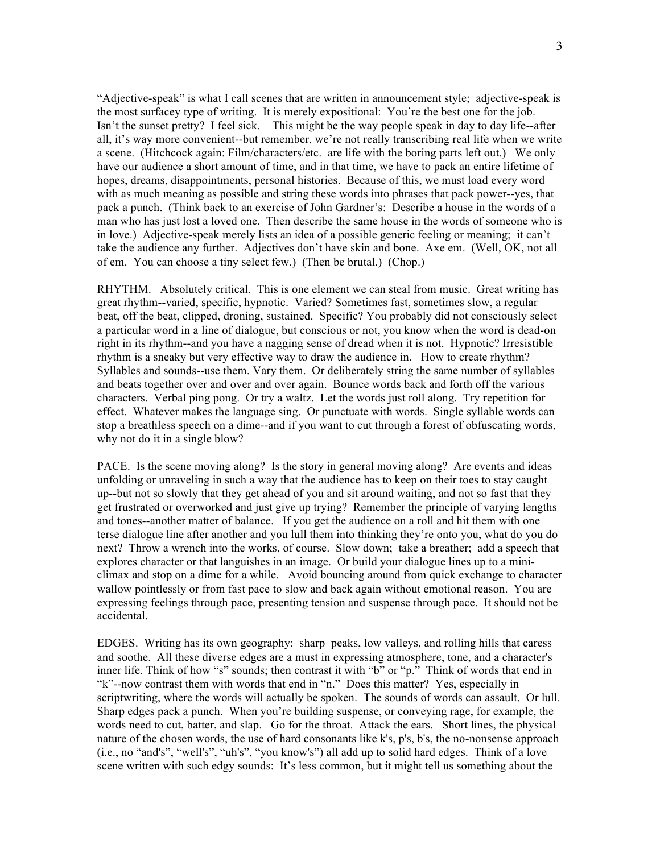"Adjective-speak" is what I call scenes that are written in announcement style; adjective-speak is the most surfacey type of writing. It is merely expositional: You're the best one for the job. Isn't the sunset pretty? I feel sick. This might be the way people speak in day to day life--after all, it's way more convenient--but remember, we're not really transcribing real life when we write a scene. (Hitchcock again: Film/characters/etc. are life with the boring parts left out.) We only have our audience a short amount of time, and in that time, we have to pack an entire lifetime of hopes, dreams, disappointments, personal histories. Because of this, we must load every word with as much meaning as possible and string these words into phrases that pack power--yes, that pack a punch. (Think back to an exercise of John Gardner's: Describe a house in the words of a man who has just lost a loved one. Then describe the same house in the words of someone who is in love.) Adjective-speak merely lists an idea of a possible generic feeling or meaning; it can't take the audience any further. Adjectives don't have skin and bone. Axe em. (Well, OK, not all of em. You can choose a tiny select few.) (Then be brutal.) (Chop.)

RHYTHM. Absolutely critical. This is one element we can steal from music. Great writing has great rhythm--varied, specific, hypnotic. Varied? Sometimes fast, sometimes slow, a regular beat, off the beat, clipped, droning, sustained. Specific? You probably did not consciously select a particular word in a line of dialogue, but conscious or not, you know when the word is dead-on right in its rhythm--and you have a nagging sense of dread when it is not. Hypnotic? Irresistible rhythm is a sneaky but very effective way to draw the audience in. How to create rhythm? Syllables and sounds--use them. Vary them. Or deliberately string the same number of syllables and beats together over and over and over again. Bounce words back and forth off the various characters. Verbal ping pong. Or try a waltz. Let the words just roll along. Try repetition for effect. Whatever makes the language sing. Or punctuate with words. Single syllable words can stop a breathless speech on a dime--and if you want to cut through a forest of obfuscating words, why not do it in a single blow?

PACE. Is the scene moving along? Is the story in general moving along? Are events and ideas unfolding or unraveling in such a way that the audience has to keep on their toes to stay caught up--but not so slowly that they get ahead of you and sit around waiting, and not so fast that they get frustrated or overworked and just give up trying? Remember the principle of varying lengths and tones--another matter of balance. If you get the audience on a roll and hit them with one terse dialogue line after another and you lull them into thinking they're onto you, what do you do next? Throw a wrench into the works, of course. Slow down; take a breather; add a speech that explores character or that languishes in an image. Or build your dialogue lines up to a miniclimax and stop on a dime for a while. Avoid bouncing around from quick exchange to character wallow pointlessly or from fast pace to slow and back again without emotional reason. You are expressing feelings through pace, presenting tension and suspense through pace. It should not be accidental.

EDGES. Writing has its own geography: sharp peaks, low valleys, and rolling hills that caress and soothe. All these diverse edges are a must in expressing atmosphere, tone, and a character's inner life. Think of how "s" sounds; then contrast it with "b" or "p." Think of words that end in "k"--now contrast them with words that end in "n." Does this matter? Yes, especially in scriptwriting, where the words will actually be spoken. The sounds of words can assault. Or lull. Sharp edges pack a punch. When you're building suspense, or conveying rage, for example, the words need to cut, batter, and slap. Go for the throat. Attack the ears. Short lines, the physical nature of the chosen words, the use of hard consonants like k's, p's, b's, the no-nonsense approach (i.e., no "and's", "well's", "uh's", "you know's") all add up to solid hard edges. Think of a love scene written with such edgy sounds: It's less common, but it might tell us something about the